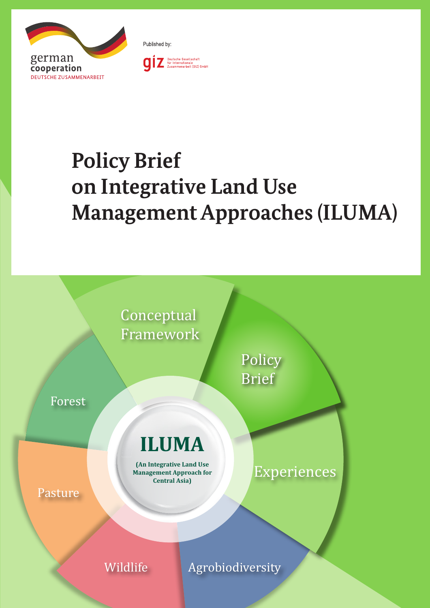



# **Policy Brief on Integrative Land Use Management Approaches (ILUMA)**



Wildlife **Agrobiodiversity**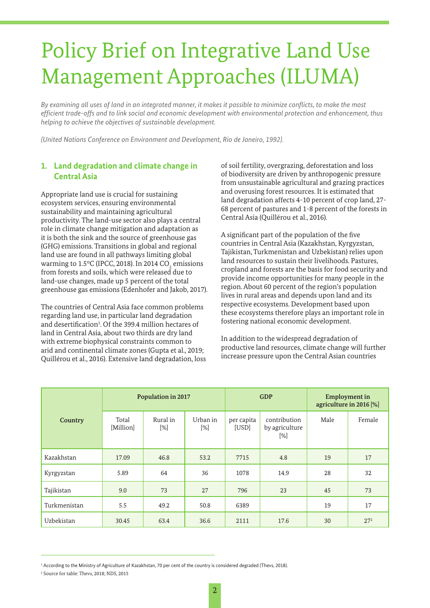## Policy Brief on Integrative Land Use Management Approaches (ILUMA)

*By examining all uses of land in an integrated manner, it makes it possible to minimize conflicts, to make the most efficient trade-offs and to link social and economic development with environmental protection and enhancement, thus helping to achieve the objectives of sustainable development.* 

*(United Nations Conference on Environment and Development, Rio de Janeiro, 1992).* 

#### **1. Land degradation and climate change in Central Asia**

Appropriate land use is crucial for sustaining ecosystem services, ensuring environmental sustainability and maintaining agricultural productivity. The land-use sector also plays a central role in climate change mitigation and adaptation as it is both the sink and the source of greenhouse gas (GHG) emissions. Transitions in global and regional land use are found in all pathways limiting global warming to 1.5°C (IPCC, 2018). In 2014 CO $_{\textrm{\tiny{2}}}$  emissions from forests and soils, which were released due to land-use changes, made up 5 percent of the total greenhouse gas emissions (Edenhofer and Jakob, 2017).

The countries of Central Asia face common problems regarding land use, in particular land degradation and desertification<sup>1</sup>. Of the 399.4 million hectares of land in Central Asia, about two thirds are dry land with extreme biophysical constraints common to arid and continental climate zones (Gupta et al., 2019; Quillérou et al., 2016). Extensive land degradation, loss of soil fertility, overgrazing, deforestation and loss of biodiversity are driven by anthropogenic pressure from unsustainable agricultural and grazing practices and overusing forest resources. It is estimated that land degradation affects 4-10 percent of crop land, 27- 68 percent of pastures and 1-8 percent of the forests in Central Asia (Quillérou et al., 2016).

A significant part of the population of the five countries in Central Asia (Kazakhstan, Kyrgyzstan, Tajikistan, Turkmenistan and Uzbekistan) relies upon land resources to sustain their livelihoods. Pastures, cropland and forests are the basis for food security and provide income opportunities for many people in the region. About 60 percent of the region's population lives in rural areas and depends upon land and its respective ecosystems. Development based upon these ecosystems therefore plays an important role in fostering national economic development.

In addition to the widespread degradation of productive land resources, climate change will further increase pressure upon the Central Asian countries

| Country      | <b>Population in 2017</b> |                 |                               | <b>GDP</b>          |                                       | <b>Employment</b> in<br>agriculture in 2016 [%] |          |
|--------------|---------------------------|-----------------|-------------------------------|---------------------|---------------------------------------|-------------------------------------------------|----------|
|              | Total<br>[Million]        | Rural in<br>[%] | Urban in<br>$\lceil\% \rceil$ | per capita<br>[USD] | contribution<br>by agriculture<br>[%] | Male                                            | Female   |
| Kazakhstan   | 17.09                     | 46.8            | 53.2                          | 7715                | 4.8                                   | 19                                              | 17       |
| Kyrgyzstan   | 5.89                      | 64              | 36                            | 1078                | 14.9                                  | 28                                              | 32       |
| Tajikistan   | 9.0                       | 73              | 27                            | 796                 | 23                                    | 45                                              | 73       |
| Turkmenistan | 5.5                       | 49.2            | 50.8                          | 6389                |                                       | 19                                              | 17       |
| Uzbekistan   | 30.45                     | 63.4            | 36.6                          | 2111                | 17.6                                  | 30                                              | $27^{2}$ |

<sup>1</sup> According to the Ministry of Agriculture of Kazakhstan, 70 per cent of the country is considered degraded (Thevs, 2018).

2 Source for table: Thevs, 2018; NDS, 2015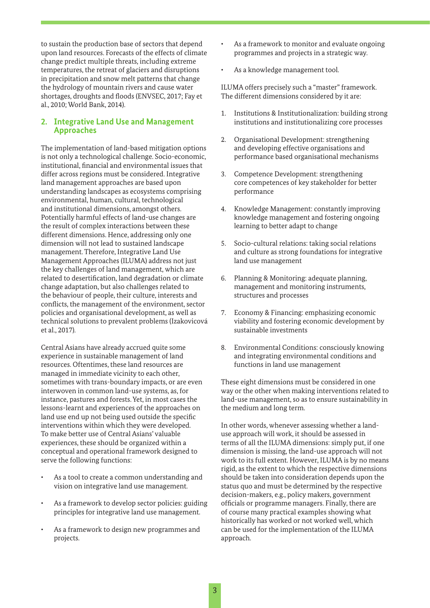to sustain the production base of sectors that depend upon land resources. Forecasts of the effects of climate change predict multiple threats, including extreme temperatures, the retreat of glaciers and disruptions in precipitation and snow melt patterns that change the hydrology of mountain rivers and cause water shortages, droughts and floods (ENVSEC, 2017; Fay et al., 2010; World Bank, 2014).

#### **2. Integrative Land Use and Management Approaches**

The implementation of land-based mitigation options is not only a technological challenge. Socio-economic, institutional, financial and environmental issues that differ across regions must be considered. Integrative land management approaches are based upon understanding landscapes as ecosystems comprising environmental, human, cultural, technological and institutional dimensions, amongst others. Potentially harmful effects of land-use changes are the result of complex interactions between these different dimensions. Hence, addressing only one dimension will not lead to sustained landscape management. Therefore, Integrative Land Use Management Approaches (ILUMA) address not just the key challenges of land management, which are related to desertification, land degradation or climate change adaptation, but also challenges related to the behaviour of people, their culture, interests and conflicts, the management of the environment, sector policies and organisational development, as well as technical solutions to prevalent problems (Izakovicová et al., 2017).

Central Asians have already accrued quite some experience in sustainable management of land resources. Oftentimes, these land resources are managed in immediate vicinity to each other, sometimes with trans-boundary impacts, or are even interwoven in common land-use systems, as, for instance, pastures and forests. Yet, in most cases the lessons-learnt and experiences of the approaches on land use end up not being used outside the specific interventions within which they were developed. To make better use of Central Asians' valuable experiences, these should be organized within a conceptual and operational framework designed to serve the following functions:

- As a tool to create a common understanding and vision on integrative land use management.
- As a framework to develop sector policies: guiding principles for integrative land use management.
- As a framework to design new programmes and projects.
- As a framework to monitor and evaluate ongoing programmes and projects in a strategic way.
- As a knowledge management tool.

ILUMA offers precisely such a "master" framework. The different dimensions considered by it are:

- 1. Institutions & Institutionalization: building strong institutions and institutionalizing core processes
- 2. Organisational Development: strengthening and developing effective organisations and performance based organisational mechanisms
- 3. Competence Development: strengthening core competences of key stakeholder for better performance
- 4. Knowledge Management: constantly improving knowledge management and fostering ongoing learning to better adapt to change
- 5. Socio-cultural relations: taking social relations and culture as strong foundations for integrative land use management
- 6. Planning & Monitoring: adequate planning, management and monitoring instruments, structures and processes
- 7. Economy & Financing: emphasizing economic viability and fostering economic development by sustainable investments
- 8. Environmental Conditions: consciously knowing and integrating environmental conditions and functions in land use management

These eight dimensions must be considered in one way or the other when making interventions related to land-use management, so as to ensure sustainability in the medium and long term.

In other words, whenever assessing whether a landuse approach will work, it should be assessed in terms of all the ILUMA dimensions: simply put, if one dimension is missing, the land-use approach will not work to its full extent. However, ILUMA is by no means rigid, as the extent to which the respective dimensions should be taken into consideration depends upon the status quo and must be determined by the respective decision-makers, e.g., policy makers, government officials or programme managers. Finally, there are of course many practical examples showing what historically has worked or not worked well, which can be used for the implementation of the ILUMA approach.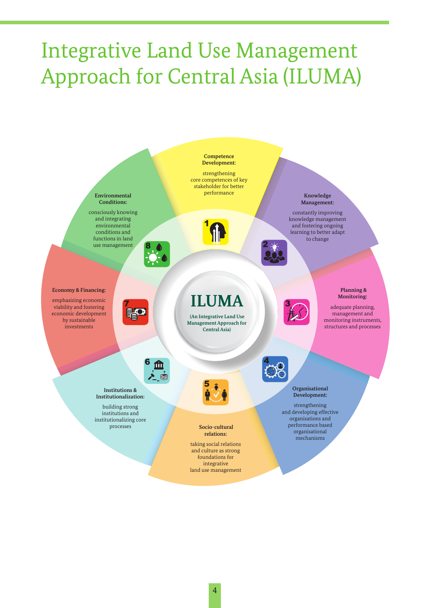## Integrative Land Use Management Approach for Central Asia (ILUMA)

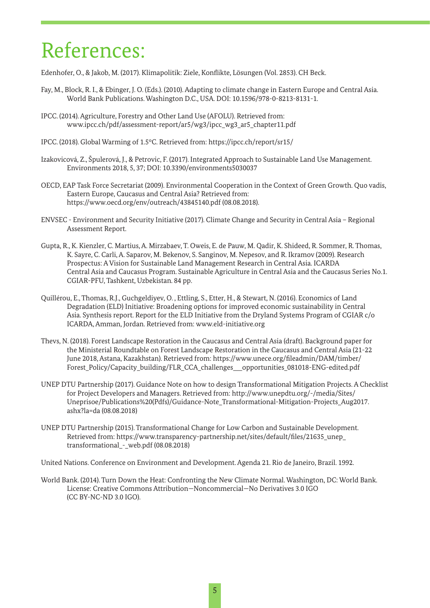### References:

Edenhofer, O., & Jakob, M. (2017). Klimapolitik: Ziele, Konflikte, Lösungen (Vol. 2853). CH Beck.

- Fay, M., Block, R. I., & Ebinger, J. O. (Eds.). (2010). Adapting to climate change in Eastern Europe and Central Asia. World Bank Publications. Washington D.C., USA. DOI: 10.1596/978-0-8213-8131-1.
- IPCC. (2014). Agriculture, Forestry and Other Land Use (AFOLU). Retrieved from: www.ipcc.ch/pdf/assessment-report/ar5/wg3/ipcc\_wg3\_ar5\_chapter11.pdf
- IPCC. (2018). Global Warming of 1.5°C. Retrieved from: https://ipcc.ch/report/sr15/
- Izakovicová, Z., Špulerová, J., & Petrovic, F. (2017). Integrated Approach to Sustainable Land Use Management. Environments 2018, 5, 37; DOI: 10.3390/environments5030037
- OECD, EAP Task Force Secretariat (2009). Environmental Cooperation in the Context of Green Growth. Quo vadis, Eastern Europe, Caucasus and Central Asia? Retrieved from: https://www.oecd.org/env/outreach/43845140.pdf (08.08.2018).
- ENVSEC Environment and Security Initiative (2017). Climate Change and Security in Central Asia Regional Assessment Report.
- Gupta, R., K. Kienzler, C. Martius, A. Mirzabaev, T. Oweis, E. de Pauw, M. Qadir, K. Shideed, R. Sommer, R. Thomas, K. Sayre, C. Carli, A. Saparov, M. Bekenov, S. Sanginov, M. Nepesov, and R. Ikramov (2009). Research Prospectus: A Vision for Sustainable Land Management Research in Central Asia. ICARDA Central Asia and Caucasus Program. Sustainable Agriculture in Central Asia and the Caucasus Series No.1. CGIAR-PFU, Tashkent, Uzbekistan. 84 pp.
- Quillérou, E., Thomas, R.J., Guchgeldiyev, O. , Ettling, S., Etter, H., & Stewart, N. (2016). Economics of Land Degradation (ELD) Initiative: Broadening options for improved economic sustainability in Central Asia. Synthesis report. Report for the ELD Initiative from the Dryland Systems Program of CGIAR c/o ICARDA, Amman, Jordan. Retrieved from: www.eld-initiative.org
- Thevs, N. (2018). Forest Landscape Restoration in the Caucasus and Central Asia (draft). Background paper for the Ministerial Roundtable on Forest Landscape Restoration in the Caucasus and Central Asia (21-22 June 2018, Astana, Kazakhstan). Retrieved from: https://www.unece.org/fileadmin/DAM/timber/ Forest\_Policy/Capacity\_building/FLR\_CCA\_challenges\_\_\_opportunities\_081018-ENG-edited.pdf
- UNEP DTU Partnership (2017). Guidance Note on how to design Transformational Mitigation Projects. A Checklist for Project Developers and Managers. Retrieved from: http://www.unepdtu.org/-/media/Sites/ Uneprisoe/Publications%20(Pdfs)/Guidance-Note\_Transformational-Mitigation-Projects\_Aug2017. ashx?la=da (08.08.2018)
- UNEP DTU Partnership (2015). Transformational Change for Low Carbon and Sustainable Development. Retrieved from: https://www.transparency-partnership.net/sites/default/files/21635\_unep\_ transformational\_-\_web.pdf (08.08.2018)

United Nations. Conference on Environment and Development. Agenda 21. Rio de Janeiro, Brazil. 1992.

World Bank. (2014). Turn Down the Heat: Confronting the New Climate Normal. Washington, DC: World Bank. License: Creative Commons Attribution—Noncommercial—No Derivatives 3.0 IGO (CC BY-NC-ND 3.0 IGO).